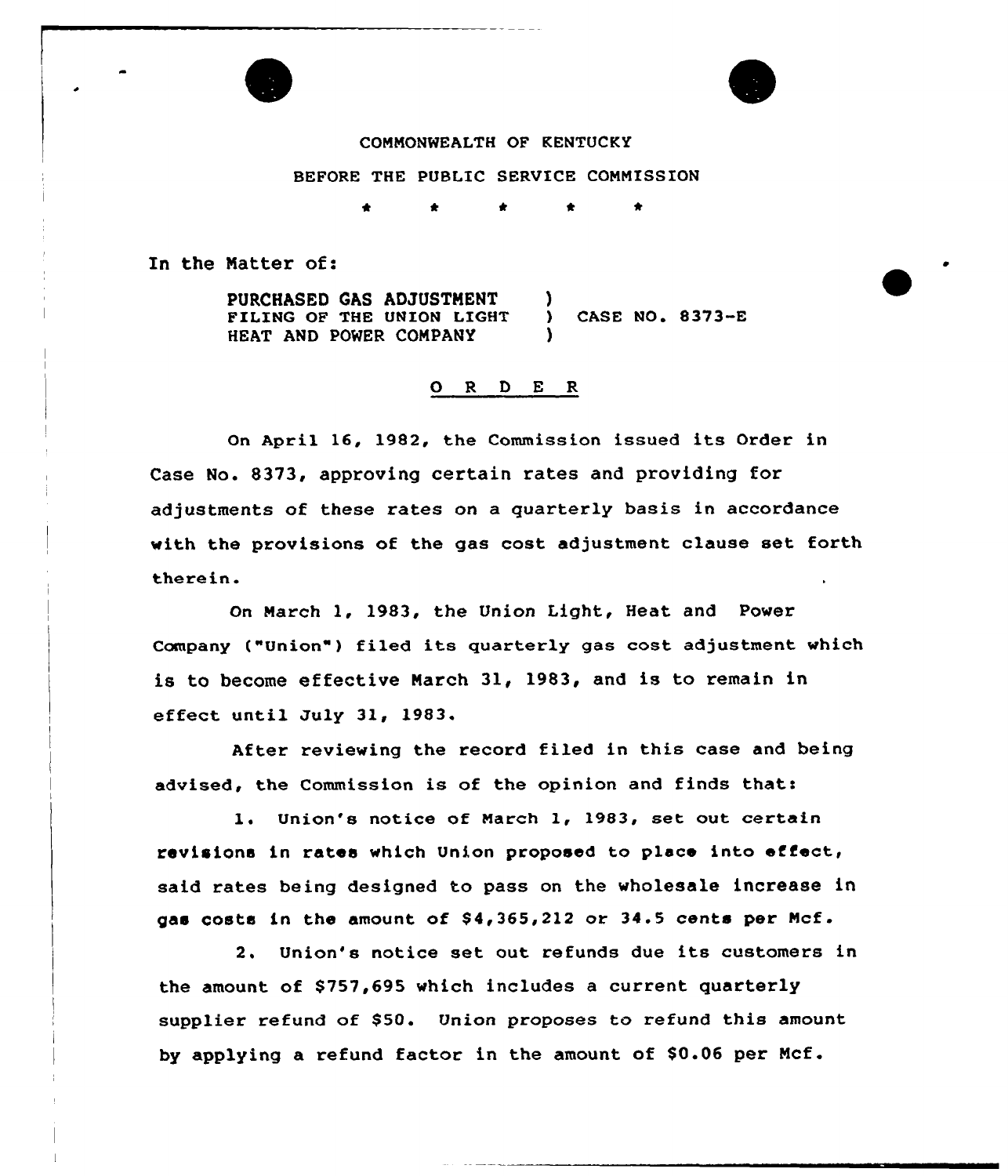

# COMMONWEALTH OF KENTUCKY

# BEFORE THE PUBLIC SERVICE COMMISSION

\* \* \* \* \*

In the Matter of:

PURCHASED GAS ADJUSTMENT FILING OF THE UNION LIGHT HEAT AND POWER COMPANY )  $)$  CASE NO. 8373-E )

## 0 <sup>R</sup> <sup>D</sup> <sup>E</sup> <sup>R</sup>

On April 16, 1982, the Commission issued its Order in Case No. 8373, approving certain rates and providing for adjustments of these rates on a quarterly basis in accordance with the provisions of the gas cost adjustment clause set forth therein.

On March 1, 1983, the Union Light, Heat and Power Company ("Union") filed its quarterly gas cost adjustment which is to become effective March 3l, 1983, and is to remain in effect until July 31, 1983

After reviewing the record filed in this case and being advised, the Commission is of the opinion and finds that:

l. Union's notice of March 1, 1983, set out certain revisions in rates which Union proposed to place into effect, said rates being designed to pass on the wholesale increase in gas costs in the amount of  $$4,365,212$  or  $34.5$  cents per Mcf.

2. Union's notice set out refunds due its customers in the amount of \$757,695 which includes a current quarterly supplier refund of \$50. Union proposes to refund this amount by applying a refund factor in the amount of \$0.06 per Mcf.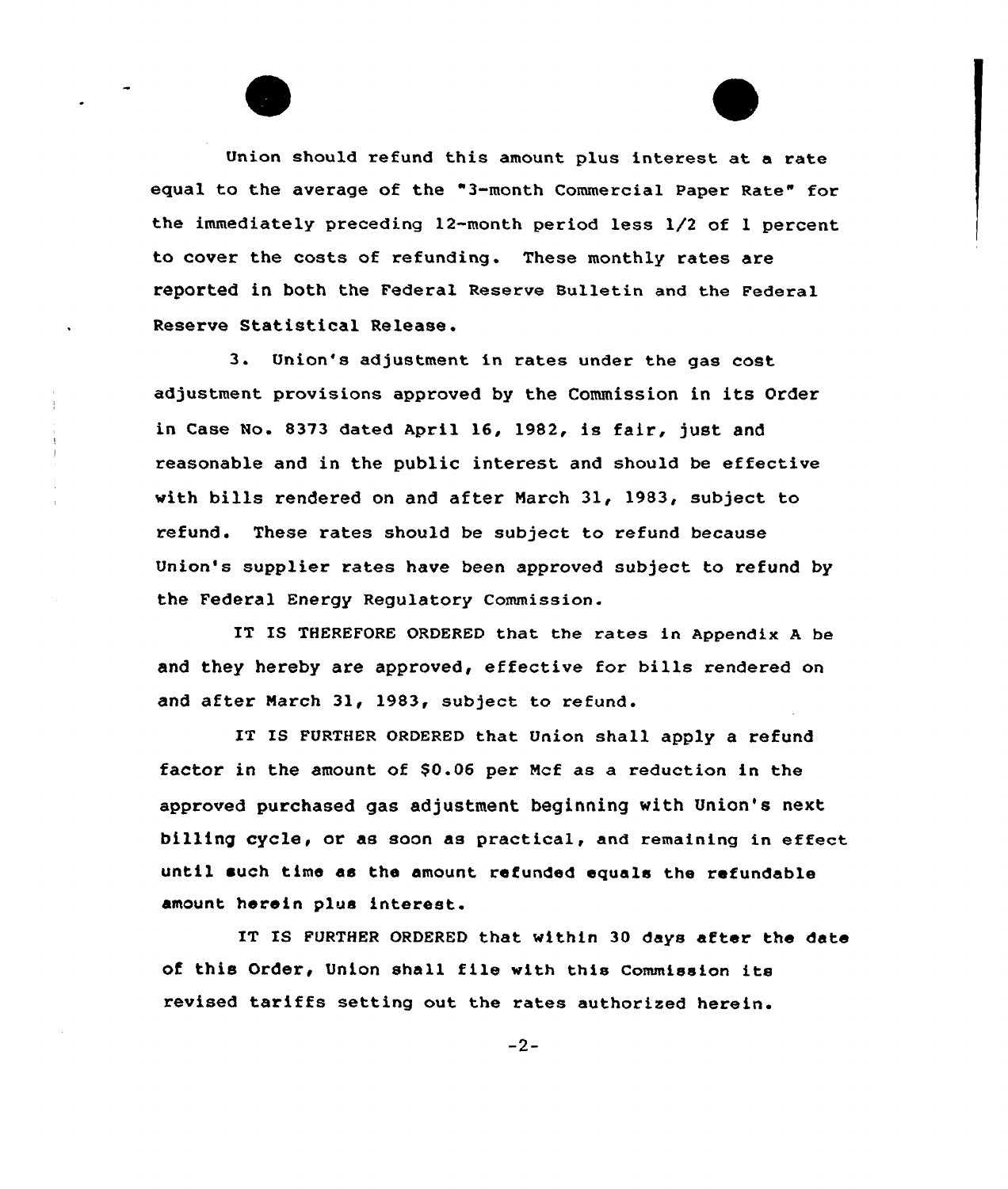Union should refund this amount plus interest at a rate equal to the average of the "3-month Commercial Paper Rate" for the immediately preceding 12-month period less 1/2 of <sup>1</sup> percent to cover the costs of refunding. These monthly rates are reported in both the Federal Reserve Bulletin and the Federal Reserve Statistical Release.

3. Union's adjustment in rates under the gas cost adjustment provisions approved by the Commission in its Order in Case No. 8373 dated April 16, 1982, is fair, just and reasonable and in the public interest and should be effective with bills rendered on and after March 31, 1983, subject to refund. These rates should be subject to refund because Union's supplier rates have been approved subject to refund by the Federal Energy Regulatory Commission.

IT IS THEREFORE ORDERED that the rates in Appendix <sup>A</sup> be and they hereby are approved, effective for bills rendered on and after March 31, 1983, subject to refund.

IT IS FURTHER ORDERED that Union shall apply a refund factor in the amount of \$0.06 per Mcf as a reduction in the approved purchased gas adjustment beginning with Union's next billing cycle, or as soon as practical, and remaining in effect until such time as the amount refunded equals the refundable amount herein plus interest.

IT IS FURTHER ORDERED that within 30 days after the date of this Order, Union shall file with this Commission its revised tariffs setting out the rates authorised herein.

 $-2-$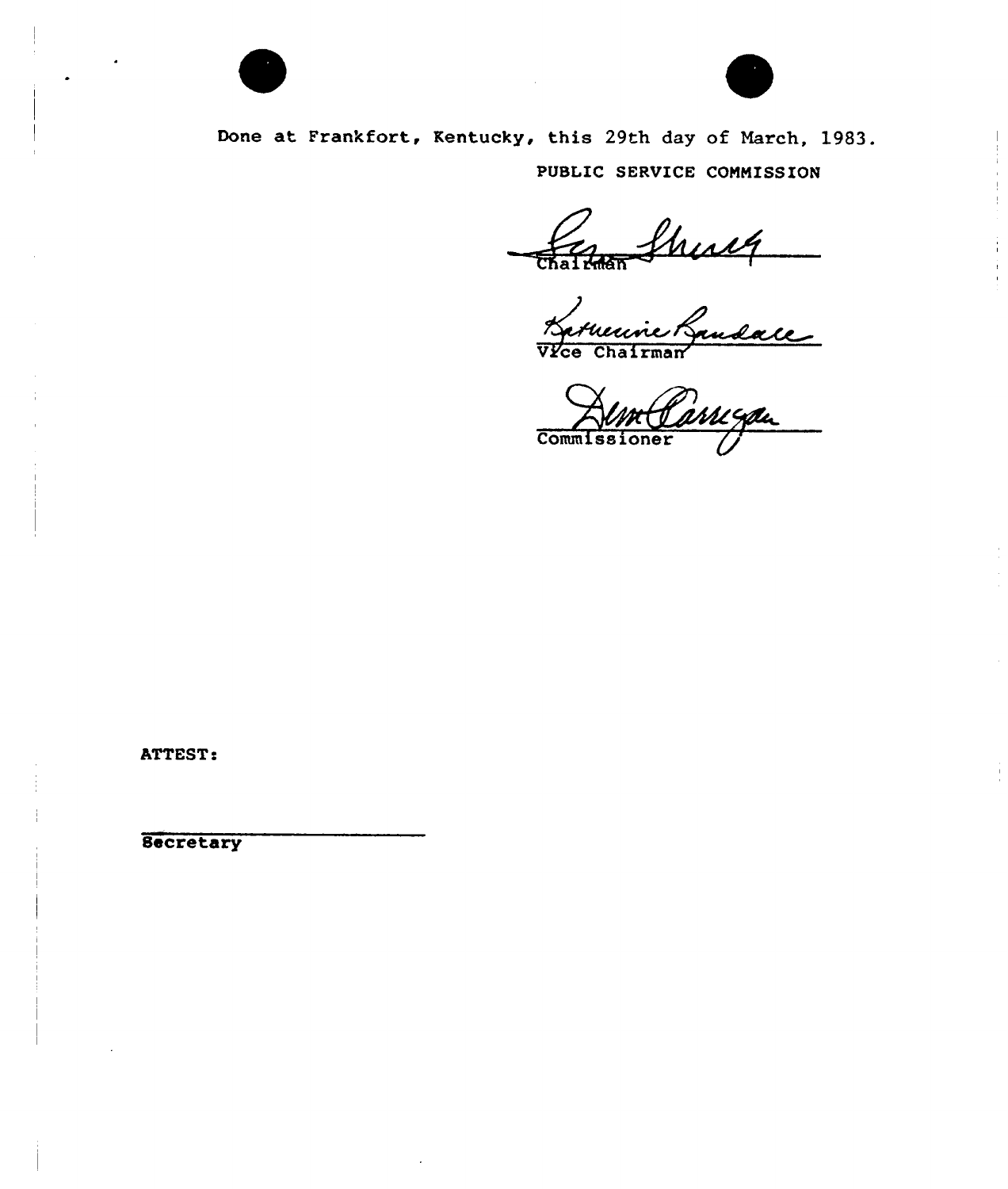



Done at Frankfort, Kentucky, this 29th day of March, 1983. PUBLIC SERVICE COMMISSION

Chatham Shealt

Commissioner

**ATTEST:** 

**Secretary**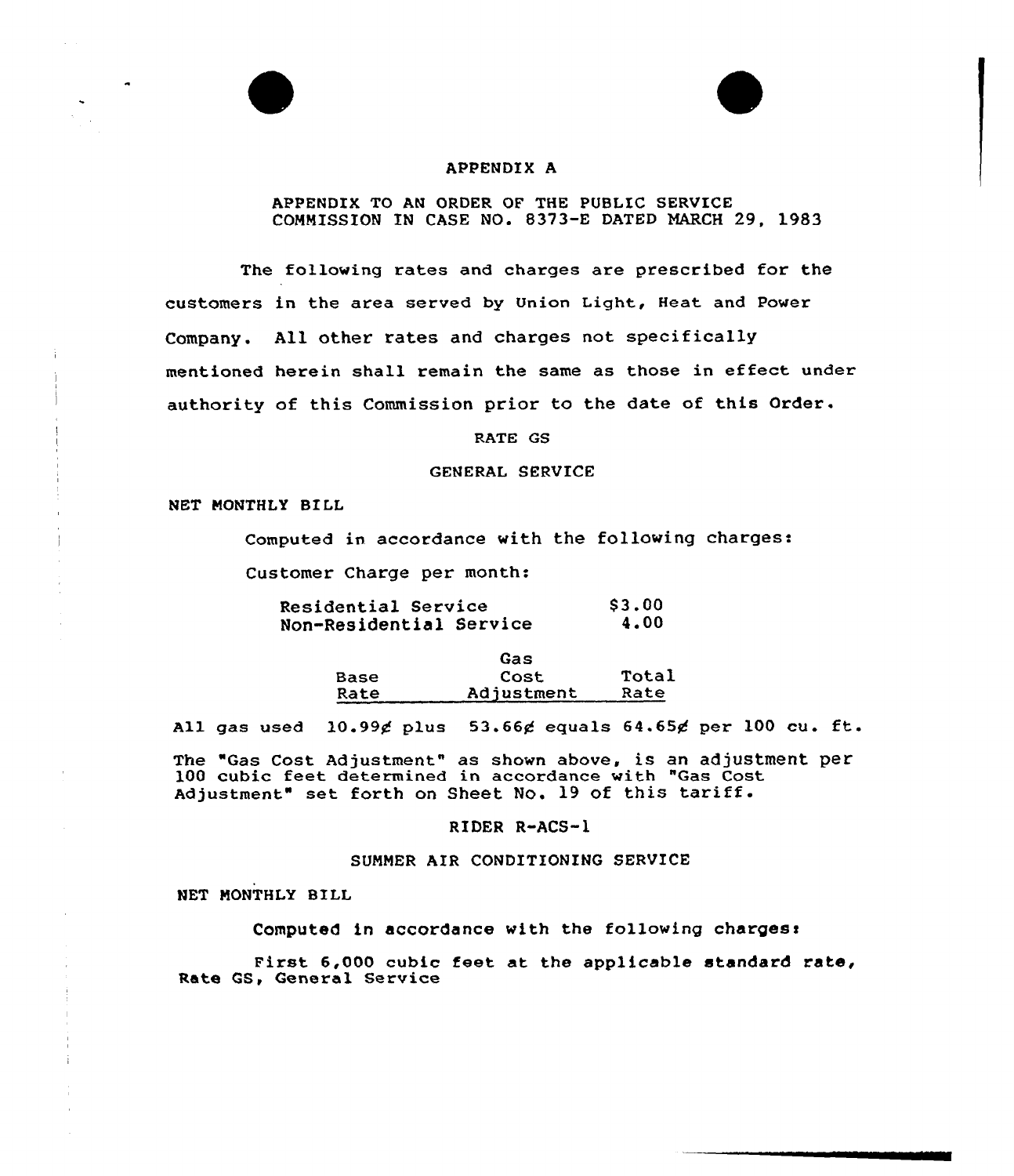### APPENDIX A

### APPENDIX TO AN ORDER QF THE PUBLIC SERVICE COMMISSION IN CASE NO. 8373-E DATED MARCH 29, 1983

The following rates and charges are prescribed for the customers in the area served by Union Light, Heat and Power Company. All other rates and charges not specifically mentioned herein shall remain the same as those in effect under authority of this Commission prior to the date of this Order.

RATE GS

### GENERAL SERVICE

NET MONTHLY BILL

Computed in accordance with the following charges:

Customer Charge per month:

Residential Service Non-Residential Service 83.00 4.00

> Base Rate Gas Cost Adjustment Total Rate

All gas used  $10.99$ g plus 53.66g equals 64.65g per 100 cu. ft.

The "Gas cost Adjustment" as shown above, is an adjustment per 100 cubic feet determined in accordance with "Gas Cost Adjustment" set forth on Sheet No. 19 of this tariff.

### RIDER R-ACS-1

## SUNNER AIR CONDITIONING SERVICE

NET MONTHLY BILL

Computed in accordance with the following charges<

First 6,000 cubic feet at the applicable standard rate, Rate QS, General Service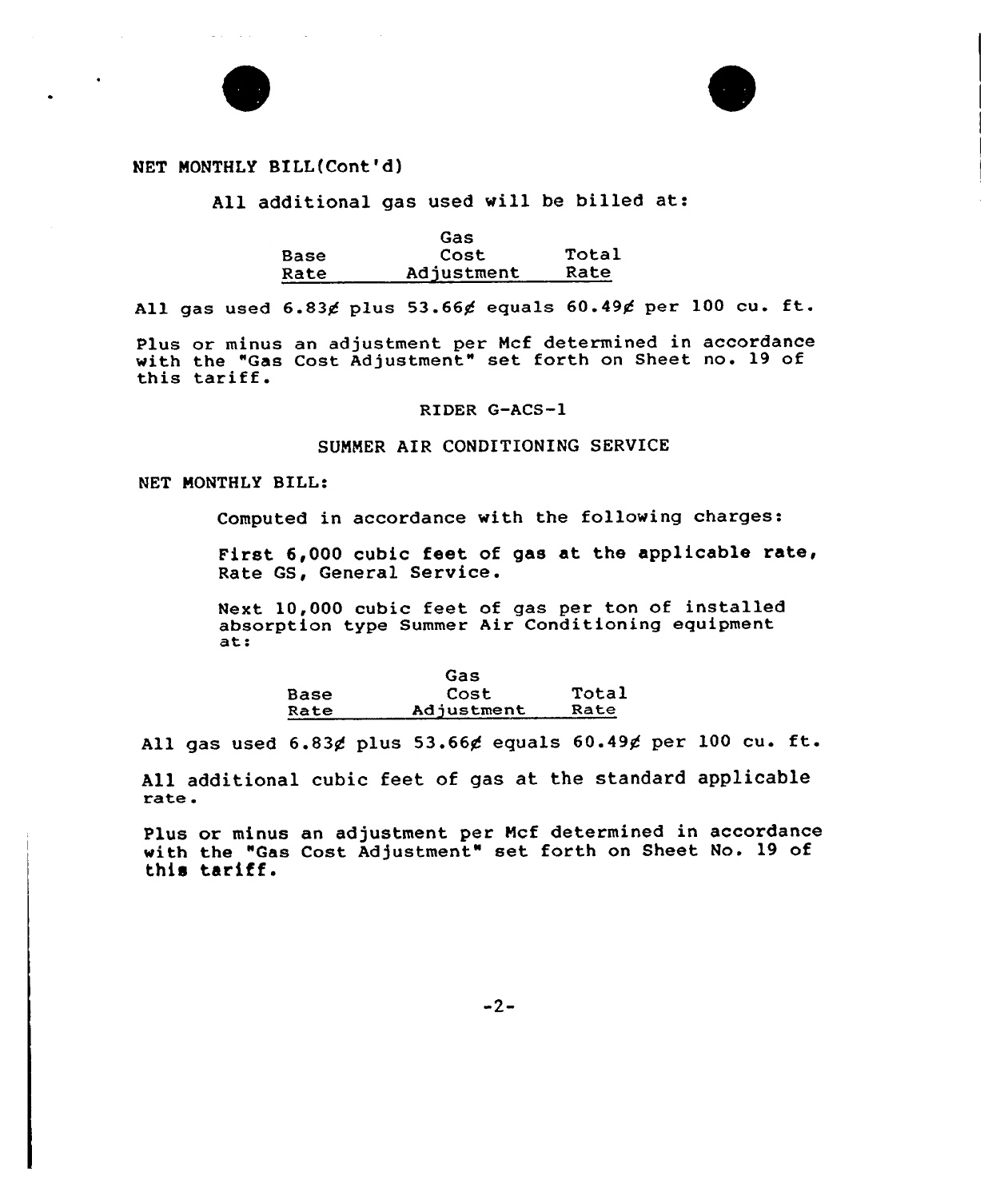

# NET MONTHLY BILL(Cont'd)

All additional gas used vill be billed at:

|             | Gas        |       |
|-------------|------------|-------|
| <b>Base</b> | Cost       | Total |
| Rate        | Adjustment | Rate  |

All gas used  $6.83$ g plus 53.66 $g$  equals  $60.49g$  per 100 cu. ft.

Plus or minus an adjustment per Ncf determined in accordance with the "Gas Cost Adjustment" set forth on Sheet no. 19 of this tariff.

RIDER G-ACS-1

# SUNNER AIR CONDITIONING SERVICE

# NET NONTHLY BILL:

Computed in accordance with the following charges:

First 6,000 cubic feet of gas at the applicable rate, Rate GS, General Service.

Next. 10,000 cubic feet of gas per ton of installed absorption type Summer Air Conditioning equipment at:

|      | Gas        |       |
|------|------------|-------|
| Base | Cost       | Total |
| Rate | Adjustment | Rate  |

All gas used  $6.83$  $¢$  plus  $53.66$  $¢$  equals  $60.49$  $¢$  per 100 cu. ft.

All additional cubic feet of gas at the standard applicable<br>rate.

Plus or minus an adjustment per Ncf determined in accordance with the "Gas Cost Adjustment" set forth on Sheet No. 19 of this tariff.

 $-2-$